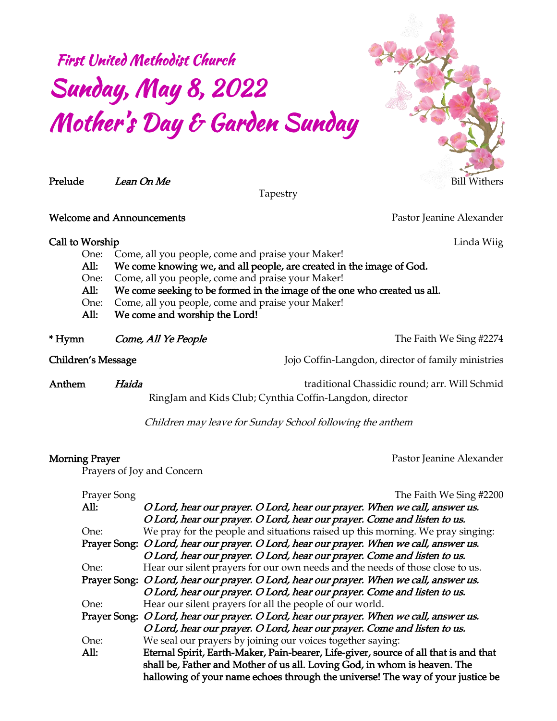# First United Methodist Church Sunday, May 8, 2022 Mother's Day & Garden Sunday



*Tapestry*

*Welcome and Announcements Pastor Jeanine Alexander*

*Call to Worship Linda Wiig*

- *One: Come, all you people, come and praise your Maker!*
- *All: We come knowing we, and all people, are created in the image of God.*
- *One: Come, all you people, come and praise your Maker!*
- *All: We come seeking to be formed in the image of the one who created us all.*
- *One: Come, all you people, come and praise your Maker!*
- *All: We come and worship the Lord!*

*\* Hymn Come, All Ye People The Faith We Sing #2274*

*Children's Message Jojo Coffin-Langdon, director of family ministries*

*Anthem Haida traditional Chassidic round; arr. Will Schmid RingJam and Kids Club; Cynthia Coffin-Langdon, director*

*Children may leave for Sunday School following the anthem*

*Morning Prayer* Pastor Jeanine Alexander

*Prayers of Joy and Concern*

| Prayer Song | The Faith We Sing #2200                                                                 |  |
|-------------|-----------------------------------------------------------------------------------------|--|
| All:        | O Lord, hear our prayer. O Lord, hear our prayer. When we call, answer us.              |  |
|             | O Lord, hear our prayer. O Lord, hear our prayer. Come and listen to us.                |  |
| One:        | We pray for the people and situations raised up this morning. We pray singing:          |  |
|             | Prayer Song: O Lord, hear our prayer. O Lord, hear our prayer. When we call, answer us. |  |
|             | O Lord, hear our prayer. O Lord, hear our prayer. Come and listen to us.                |  |
| One:        | Hear our silent prayers for our own needs and the needs of those close to us.           |  |
|             | Prayer Song: O Lord, hear our prayer. O Lord, hear our prayer. When we call, answer us. |  |
|             | O Lord, hear our prayer. O Lord, hear our prayer. Come and listen to us.                |  |
| One:        | Hear our silent prayers for all the people of our world.                                |  |
|             | Prayer Song: O Lord, hear our prayer. O Lord, hear our prayer. When we call, answer us. |  |
|             | O Lord, hear our prayer. O Lord, hear our prayer. Come and listen to us.                |  |
| One:        | We seal our prayers by joining our voices together saying:                              |  |
| All:        | Eternal Spirit, Earth-Maker, Pain-bearer, Life-giver, source of all that is and that    |  |
|             | shall be, Father and Mother of us all. Loving God, in whom is heaven. The               |  |
|             | hallowing of your name echoes through the universe! The way of your justice be          |  |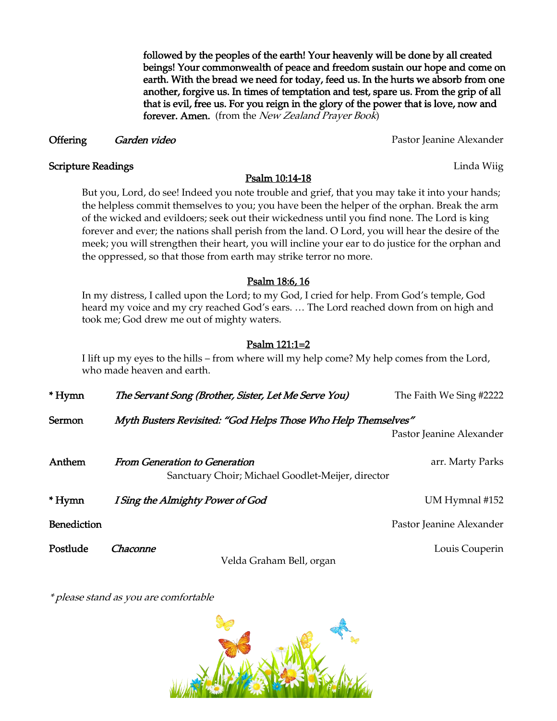*followed by the peoples of the earth! Your heavenly will be done by all created beings! Your commonwealth of peace and freedom sustain our hope and come on earth. With the bread we need for today, feed us. In the hurts we absorb from one another, forgive us. In times of temptation and test, spare us. From the grip of all that is evil, free us. For you reign in the glory of the power that is love, now and forever. Amen. (from the New Zealand Prayer Book)*

#### **Offering** *Garden video Pastor Pastor Jeanine Alexander*

**Scripture Readings** Linda Wiig

#### *Psalm 10:14-18*

*But you, Lord, do see! Indeed you note trouble and grief, that you may take it into your hands; the helpless commit themselves to you; you have been the helper of the orphan. Break the arm of the wicked and evildoers; seek out their wickedness until you find none. The Lord is king forever and ever; the nations shall perish from the land. O Lord, you will hear the desire of the meek; you will strengthen their heart, you will incline your ear to do justice for the orphan and the oppressed, so that those from earth may strike terror no more.*

#### *Psalm 18:6, 16*

*In my distress, I called upon the Lord; to my God, I cried for help. From God's temple, God heard my voice and my cry reached God's ears. … The Lord reached down from on high and took me; God drew me out of mighty waters.*

### *Psalm 121:1=2*

*I lift up my eyes to the hills – from where will my help come? My help comes from the Lord, who made heaven and earth.*

| * Hymn      | The Servant Song (Brother, Sister, Let Me Serve You)                               | The Faith We Sing #2222  |
|-------------|------------------------------------------------------------------------------------|--------------------------|
| Sermon      | Myth Busters Revisited: "God Helps Those Who Help Themselves"                      | Pastor Jeanine Alexander |
| Anthem      | From Generation to Generation<br>Sanctuary Choir; Michael Goodlet-Meijer, director | arr. Marty Parks         |
| * Hymn      | I Sing the Almighty Power of God                                                   | UM Hymnal #152           |
| Benediction |                                                                                    | Pastor Jeanine Alexander |
| Postlude    | Chaconne<br>Velda Graham Bell, organ                                               | Louis Couperin           |

*\* please stand as you are comfortable*